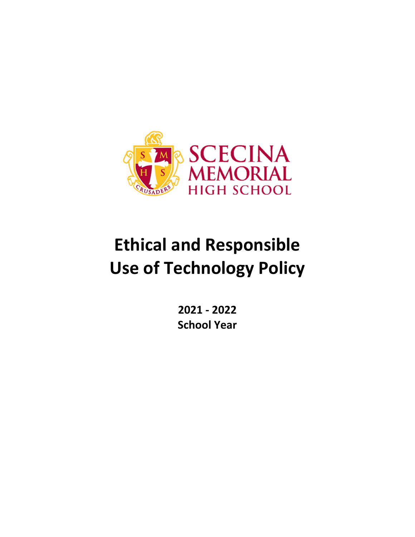

# **Ethical and Responsible Use of Technology Policy**

**2021 ‐ 2022 School Year**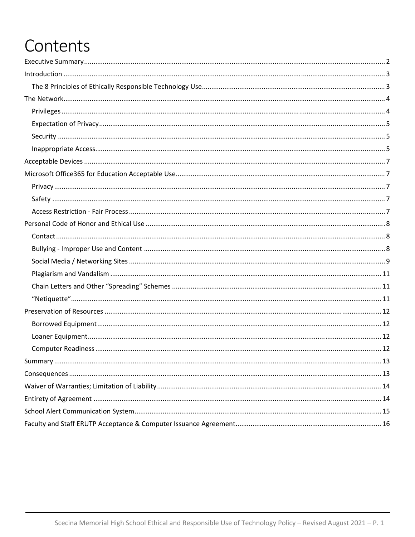# Contents

| Summary. | 13 |
|----------|----|
|          |    |
|          |    |
|          |    |
|          |    |
|          |    |
|          |    |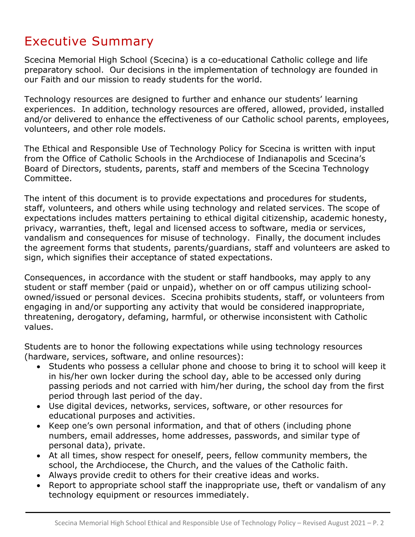### Executive Summary

Scecina Memorial High School (Scecina) is a co-educational Catholic college and life preparatory school. Our decisions in the implementation of technology are founded in our Faith and our mission to ready students for the world.

Technology resources are designed to further and enhance our students' learning experiences. In addition, technology resources are offered, allowed, provided, installed and/or delivered to enhance the effectiveness of our Catholic school parents, employees, volunteers, and other role models.

The Ethical and Responsible Use of Technology Policy for Scecina is written with input from the Office of Catholic Schools in the Archdiocese of Indianapolis and Scecina's Board of Directors, students, parents, staff and members of the Scecina Technology Committee.

The intent of this document is to provide expectations and procedures for students, staff, volunteers, and others while using technology and related services. The scope of expectations includes matters pertaining to ethical digital citizenship, academic honesty, privacy, warranties, theft, legal and licensed access to software, media or services, vandalism and consequences for misuse of technology. Finally, the document includes the agreement forms that students, parents/guardians, staff and volunteers are asked to sign, which signifies their acceptance of stated expectations.

Consequences, in accordance with the student or staff handbooks, may apply to any student or staff member (paid or unpaid), whether on or off campus utilizing schoolowned/issued or personal devices. Scecina prohibits students, staff, or volunteers from engaging in and/or supporting any activity that would be considered inappropriate, threatening, derogatory, defaming, harmful, or otherwise inconsistent with Catholic values.

Students are to honor the following expectations while using technology resources (hardware, services, software, and online resources):

- Students who possess a cellular phone and choose to bring it to school will keep it in his/her own locker during the school day, able to be accessed only during passing periods and not carried with him/her during, the school day from the first period through last period of the day.
- Use digital devices, networks, services, software, or other resources for educational purposes and activities.
- Keep one's own personal information, and that of others (including phone numbers, email addresses, home addresses, passwords, and similar type of personal data), private.
- At all times, show respect for oneself, peers, fellow community members, the school, the Archdiocese, the Church, and the values of the Catholic faith.
- Always provide credit to others for their creative ideas and works.
- Report to appropriate school staff the inappropriate use, theft or vandalism of any technology equipment or resources immediately.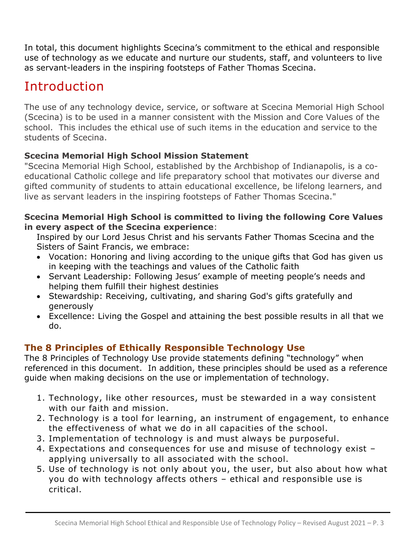In total, this document highlights Scecina's commitment to the ethical and responsible use of technology as we educate and nurture our students, staff, and volunteers to live as servant-leaders in the inspiring footsteps of Father Thomas Scecina.

# Introduction

The use of any technology device, service, or software at Scecina Memorial High School (Scecina) is to be used in a manner consistent with the Mission and Core Values of the school. This includes the ethical use of such items in the education and service to the students of Scecina.

#### **Scecina Memorial High School Mission Statement**

"Scecina Memorial High School, established by the Archbishop of Indianapolis, is a coeducational Catholic college and life preparatory school that motivates our diverse and gifted community of students to attain educational excellence, be lifelong learners, and live as servant leaders in the inspiring footsteps of Father Thomas Scecina."

#### **Scecina Memorial High School is committed to living the following Core Values in every aspect of the Scecina experience**:

Inspired by our Lord Jesus Christ and his servants Father Thomas Scecina and the Sisters of Saint Francis, we embrace:

- Vocation: Honoring and living according to the unique gifts that God has given us in keeping with the teachings and values of the Catholic faith
- Servant Leadership: Following Jesus' example of meeting people's needs and helping them fulfill their highest destinies
- Stewardship: Receiving, cultivating, and sharing God's gifts gratefully and generously
- Excellence: Living the Gospel and attaining the best possible results in all that we do.

#### **The 8 Principles of Ethically Responsible Technology Use**

The 8 Principles of Technology Use provide statements defining "technology" when referenced in this document. In addition, these principles should be used as a reference guide when making decisions on the use or implementation of technology.

- 1. Technology, like other resources, must be stewarded in a way consistent with our faith and mission.
- 2. Technology is a tool for learning, an instrument of engagement, to enhance the effectiveness of what we do in all capacities of the school.
- 3. Implementation of technology is and must always be purposeful.
- 4. Expectations and consequences for use and misuse of technology exist applying universally to all associated with the school.
- 5. Use of technology is not only about you, the user, but also about how what you do with technology affects others – ethical and responsible use is critical.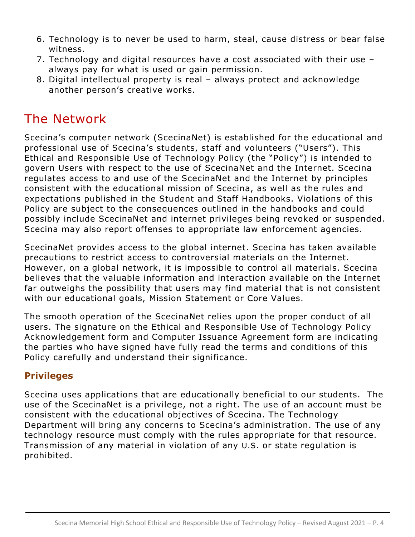- 6. Technology is to never be used to harm, steal, cause distress or bear false witness.
- 7. Technology and digital resources have a cost associated with their use always pay for what is used or gain permission.
- 8. Digital intellectual property is real always protect and acknowledge another person's creative works.

### The Network

Scecina's computer network (ScecinaNet) is established for the educational and professional use of Scecina's students, staff and volunteers ("Users"). This Ethical and Responsible Use of Technology Policy (the "Policy") is intended to govern Users with respect to the use of ScecinaNet and the Internet. Scecina regulates access to and use of the ScecinaNet and the Internet by principles consistent with the educational mission of Scecina, as well as the rules and expectations published in the Student and Staff Handbooks. Violations of this Policy are subject to the consequences outlined in the handbooks and could possibly include ScecinaNet and internet privileges being revoked or suspended. Scecina may also report offenses to appropriate law enforcement agencies.

ScecinaNet provides access to the global internet. Scecina has taken available precautions to restrict access to controversial materials on the Internet. However, on a global network, it is impossible to control all materials. Scecina believes that the valuable information and interaction available on the Internet far outweighs the possibility that users may find material that is not consistent with our educational goals, Mission Statement or Core Values.

The smooth operation of the ScecinaNet relies upon the proper conduct of all users. The signature on the Ethical and Responsible Use of Technology Policy Acknowledgement form and Computer Issuance Agreement form are indicating the parties who have signed have fully read the terms and conditions of this Policy carefully and understand their significance.

#### **Privileges**

Scecina uses applications that are educationally beneficial to our students. The use of the ScecinaNet is a privilege, not a right. The use of an account must be consistent with the educational objectives of Scecina. The Technology Department will bring any concerns to Scecina's administration. The use of any technology resource must comply with the rules appropriate for that resource. Transmission of any material in violation of any U.S. or state regulation is prohibited.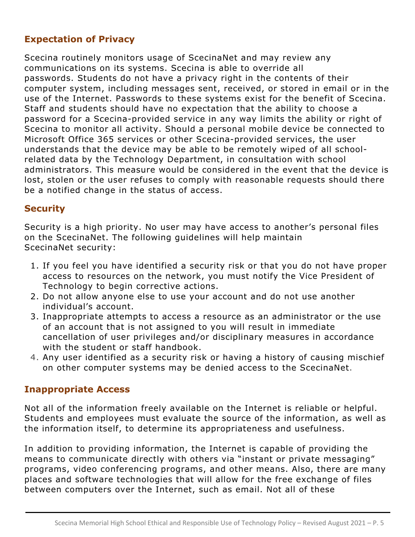#### **Expectation of Privacy**

Scecina routinely monitors usage of ScecinaNet and may review any communications on its systems. Scecina is able to override all passwords. Students do not have a privacy right in the contents of their computer system, including messages sent, received, or stored in email or in the use of the Internet. Passwords to these systems exist for the benefit of Scecina. Staff and students should have no expectation that the ability to choose a password for a Scecina-provided service in any way limits the ability or right of Scecina to monitor all activity. Should a personal mobile device be connected to Microsoft Office 365 services or other Scecina-provided services, the user understands that the device may be able to be remotely wiped of all schoolrelated data by the Technology Department, in consultation with school administrators. This measure would be considered in the event that the device is lost, stolen or the user refuses to comply with reasonable requests should there be a notified change in the status of access.

#### **Security**

Security is a high priority. No user may have access to another's personal files on the ScecinaNet. The following guidelines will help maintain ScecinaNet security:

- 1. If you feel you have identified a security risk or that you do not have proper access to resources on the network, you must notify the Vice President of Technology to begin corrective actions.
- 2. Do not allow anyone else to use your account and do not use another individual's account.
- 3. Inappropriate attempts to access a resource as an administrator or the use of an account that is not assigned to you will result in immediate cancellation of user privileges and/or disciplinary measures in accordance with the student or staff handbook.
- 4. Any user identified as a security risk or having a history of causing mischief on other computer systems may be denied access to the ScecinaNet.

#### **Inappropriate Access**

Not all of the information freely available on the Internet is reliable or helpful. Students and employees must evaluate the source of the information, as well as the information itself, to determine its appropriateness and usefulness.

In addition to providing information, the Internet is capable of providing the means to communicate directly with others via "instant or private messaging" programs, video conferencing programs, and other means. Also, there are many places and software technologies that will allow for the free exchange of files between computers over the Internet, such as email. Not all of these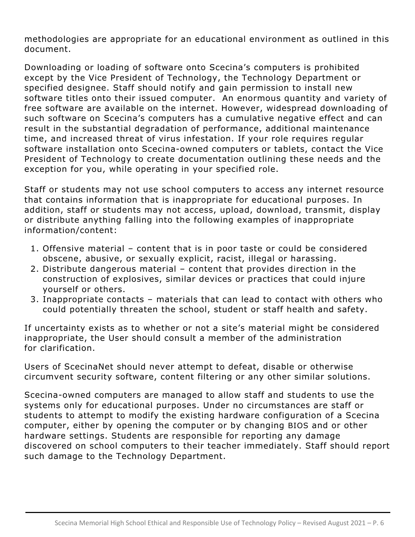methodologies are appropriate for an educational environment as outlined in this document.

Downloading or loading of software onto Scecina's computers is prohibited except by the Vice President of Technology, the Technology Department or specified designee. Staff should notify and gain permission to install new software titles onto their issued computer. An enormous quantity and variety of free software are available on the internet. However, widespread downloading of such software on Scecina's computers has a cumulative negative effect and can result in the substantial degradation of performance, additional maintenance time, and increased threat of virus infestation. If your role requires regular software installation onto Scecina-owned computers or tablets, contact the Vice President of Technology to create documentation outlining these needs and the exception for you, while operating in your specified role.

Staff or students may not use school computers to access any internet resource that contains information that is inappropriate for educational purposes. In addition, staff or students may not access, upload, download, transmit, display or distribute anything falling into the following examples of inappropriate information/content:

- 1. Offensive material content that is in poor taste or could be considered obscene, abusive, or sexually explicit, racist, illegal or harassing.
- 2. Distribute dangerous material content that provides direction in the construction of explosives, similar devices or practices that could injure yourself or others.
- 3. Inappropriate contacts materials that can lead to contact with others who could potentially threaten the school, student or staff health and safety.

If uncertainty exists as to whether or not a site's material might be considered inappropriate, the User should consult a member of the administration for clarification.

Users of ScecinaNet should never attempt to defeat, disable or otherwise circumvent security software, content filtering or any other similar solutions.

Scecina-owned computers are managed to allow staff and students to use the systems only for educational purposes. Under no circumstances are staff or students to attempt to modify the existing hardware configuration of a Scecina computer, either by opening the computer or by changing BIOS and or other hardware settings. Students are responsible for reporting any damage discovered on school computers to their teacher immediately. Staff should report such damage to the Technology Department.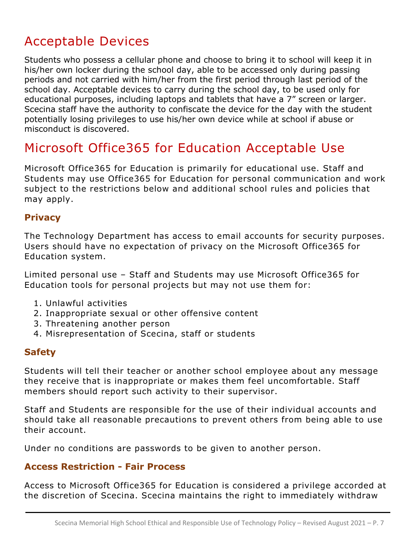### Acceptable Devices

Students who possess a cellular phone and choose to bring it to school will keep it in his/her own locker during the school day, able to be accessed only during passing periods and not carried with him/her from the first period through last period of the school day. Acceptable devices to carry during the school day, to be used only for educational purposes, including laptops and tablets that have a 7" screen or larger. Scecina staff have the authority to confiscate the device for the day with the student potentially losing privileges to use his/her own device while at school if abuse or misconduct is discovered.

### Microsoft Office365 for Education Acceptable Use

Microsoft Office365 for Education is primarily for educational use. Staff and Students may use Office365 for Education for personal communication and work subject to the restrictions below and additional school rules and policies that may apply.

#### **Privacy**

The Technology Department has access to email accounts for security purposes. Users should have no expectation of privacy on the Microsoft Office365 for Education system.

Limited personal use – Staff and Students may use Microsoft Office365 for Education tools for personal projects but may not use them for:

- 1. Unlawful activities
- 2. Inappropriate sexual or other offensive content
- 3. Threatening another person
- 4. Misrepresentation of Scecina, staff or students

#### **Safety**

Students will tell their teacher or another school employee about any message they receive that is inappropriate or makes them feel uncomfortable. Staff members should report such activity to their supervisor.

Staff and Students are responsible for the use of their individual accounts and should take all reasonable precautions to prevent others from being able to use their account.

Under no conditions are passwords to be given to another person.

#### **Access Restriction - Fair Process**

Access to Microsoft Office365 for Education is considered a privilege accorded at the discretion of Scecina. Scecina maintains the right to immediately withdraw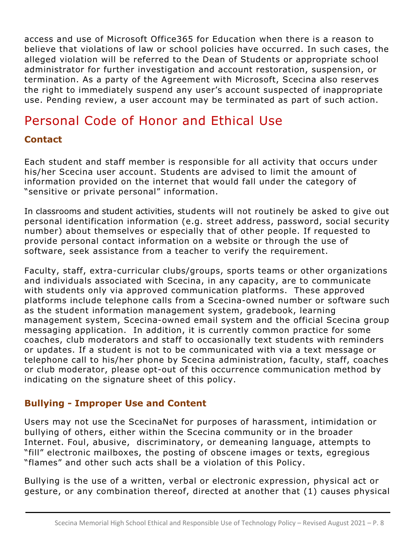access and use of Microsoft Office365 for Education when there is a reason to believe that violations of law or school policies have occurred. In such cases, the alleged violation will be referred to the Dean of Students or appropriate school administrator for further investigation and account restoration, suspension, or termination. As a party of the Agreement with Microsoft, Scecina also reserves the right to immediately suspend any user's account suspected of inappropriate use. Pending review, a user account may be terminated as part of such action.

### Personal Code of Honor and Ethical Use

#### **Contact**

Each student and staff member is responsible for all activity that occurs under his/her Scecina user account. Students are advised to limit the amount of information provided on the internet that would fall under the category of "sensitive or private personal" information.

In classrooms and student activities, students will not routinely be asked to give out personal identification information (e.g. street address, password, social security number) about themselves or especially that of other people. If requested to provide personal contact information on a website or through the use of software, seek assistance from a teacher to verify the requirement.

Faculty, staff, extra-curricular clubs/groups, sports teams or other organizations and individuals associated with Scecina, in any capacity, are to communicate with students only via approved communication platforms. These approved platforms include telephone calls from a Scecina-owned number or software such as the student information management system, gradebook, learning management system, Scecina-owned email system and the official Scecina group messaging application. In addition, it is currently common practice for some coaches, club moderators and staff to occasionally text students with reminders or updates. If a student is not to be communicated with via a text message or telephone call to his/her phone by Scecina administration, faculty, staff, coaches or club moderator, please opt-out of this occurrence communication method by indicating on the signature sheet of this policy.

#### **Bullying - Improper Use and Content**

Users may not use the ScecinaNet for purposes of harassment, intimidation or bullying of others, either within the Scecina community or in the broader Internet. Foul, abusive, discriminatory, or demeaning language, attempts to "fill" electronic mailboxes, the posting of obscene images or texts, egregious "flames" and other such acts shall be a violation of this Policy.

Bullying is the use of a written, verbal or electronic expression, physical act or gesture, or any combination thereof, directed at another that (1) causes physical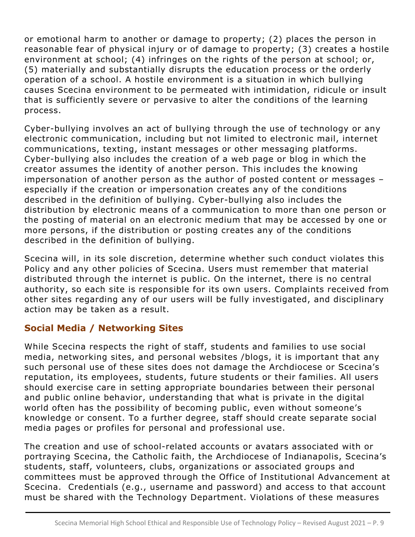or emotional harm to another or damage to property; (2) places the person in reasonable fear of physical injury or of damage to property; (3) creates a hostile environment at school; (4) infringes on the rights of the person at school; or, (5) materially and substantially disrupts the education process or the orderly operation of a school. A hostile environment is a situation in which bullying causes Scecina environment to be permeated with intimidation, ridicule or insult that is sufficiently severe or pervasive to alter the conditions of the learning process.

Cyber-bullying involves an act of bullying through the use of technology or any electronic communication, including but not limited to electronic mail, internet communications, texting, instant messages or other messaging platforms. Cyber-bullying also includes the creation of a web page or blog in which the creator assumes the identity of another person. This includes the knowing impersonation of another person as the author of posted content or messages – especially if the creation or impersonation creates any of the conditions described in the definition of bullying. Cyber-bullying also includes the distribution by electronic means of a communication to more than one person or the posting of material on an electronic medium that may be accessed by one or more persons, if the distribution or posting creates any of the conditions described in the definition of bullying.

Scecina will, in its sole discretion, determine whether such conduct violates this Policy and any other policies of Scecina. Users must remember that material distributed through the internet is public. On the internet, there is no central authority, so each site is responsible for its own users. Complaints received from other sites regarding any of our users will be fully investigated, and disciplinary action may be taken as a result.

#### **Social Media / Networking Sites**

While Scecina respects the right of staff, students and families to use social media, networking sites, and personal websites /blogs, it is important that any such personal use of these sites does not damage the Archdiocese or Scecina's reputation, its employees, students, future students or their families. All users should exercise care in setting appropriate boundaries between their personal and public online behavior, understanding that what is private in the digital world often has the possibility of becoming public, even without someone's knowledge or consent. To a further degree, staff should create separate social media pages or profiles for personal and professional use.

The creation and use of school-related accounts or avatars associated with or portraying Scecina, the Catholic faith, the Archdiocese of Indianapolis, Scecina's students, staff, volunteers, clubs, organizations or associated groups and committees must be approved through the Office of Institutional Advancement at Scecina. Credentials (e.g., username and password) and access to that account must be shared with the Technology Department. Violations of these measures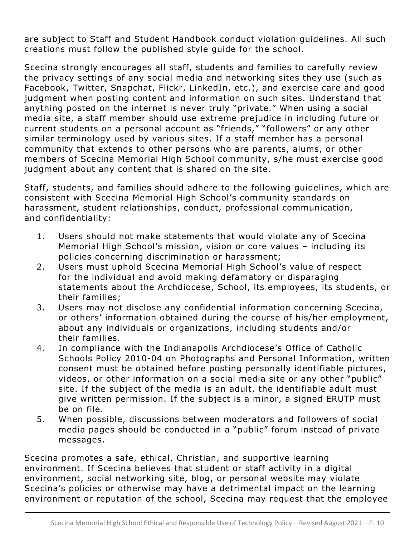are subject to Staff and Student Handbook conduct violation guidelines. All such creations must follow the published style guide for the school.

Scecina strongly encourages all staff, students and families to carefully review the privacy settings of any social media and networking sites they use (such as Facebook, Twitter, Snapchat, Flickr, LinkedIn, etc.), and exercise care and good judgment when posting content and information on such sites. Understand that anything posted on the internet is never truly "private." When using a social media site, a staff member should use extreme prejudice in including future or current students on a personal account as "friends," "followers" or any other similar terminology used by various sites. If a staff member has a personal community that extends to other persons who are parents, alums, or other members of Scecina Memorial High School community, s/he must exercise good judgment about any content that is shared on the site.

Staff, students, and families should adhere to the following guidelines, which are consistent with Scecina Memorial High School's community standards on harassment, student relationships, conduct, professional communication, and confidentiality:

- 1. Users should not make statements that would violate any of Scecina Memorial High School's mission, vision or core values – including its policies concerning discrimination or harassment;
- 2. Users must uphold Scecina Memorial High School's value of respect for the individual and avoid making defamatory or disparaging statements about the Archdiocese, School, its employees, its students, or their families;
- 3. Users may not disclose any confidential information concerning Scecina, or others' information obtained during the course of his/her employment, about any individuals or organizations, including students and/or their families.
- 4. In compliance with the Indianapolis Archdiocese's Office of Catholic Schools Policy 2010-04 on Photographs and Personal Information, written consent must be obtained before posting personally identifiable pictures, videos, or other information on a social media site or any other "public" site. If the subject of the media is an adult, the identifiable adult must give written permission. If the subject is a minor, a signed ERUTP must be on file.
- 5. When possible, discussions between moderators and followers of social media pages should be conducted in a "public" forum instead of private messages.

Scecina promotes a safe, ethical, Christian, and supportive learning environment. If Scecina believes that student or staff activity in a digital environment, social networking site, blog, or personal website may violate Scecina's policies or otherwise may have a detrimental impact on the learning environment or reputation of the school, Scecina may request that the employee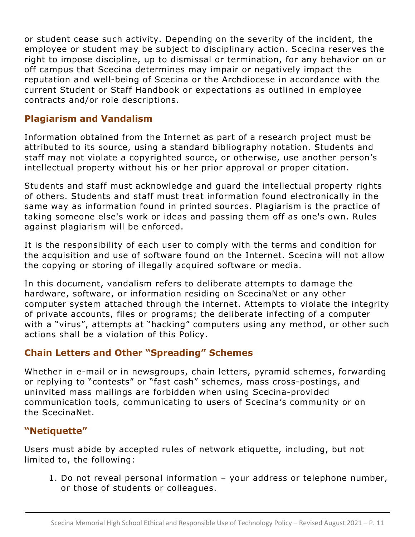or student cease such activity. Depending on the severity of the incident, the employee or student may be subject to disciplinary action. Scecina reserves the right to impose discipline, up to dismissal or termination, for any behavior on or off campus that Scecina determines may impair or negatively impact the reputation and well-being of Scecina or the Archdiocese in accordance with the current Student or Staff Handbook or expectations as outlined in employee contracts and/or role descriptions.

#### **Plagiarism and Vandalism**

Information obtained from the Internet as part of a research project must be attributed to its source, using a standard bibliography notation. Students and staff may not violate a copyrighted source, or otherwise, use another person's intellectual property without his or her prior approval or proper citation.

Students and staff must acknowledge and guard the intellectual property rights of others. Students and staff must treat information found electronically in the same way as information found in printed sources. Plagiarism is the practice of taking someone else's work or ideas and passing them off as one's own. Rules against plagiarism will be enforced.

It is the responsibility of each user to comply with the terms and condition for the acquisition and use of software found on the Internet. Scecina will not allow the copying or storing of illegally acquired software or media.

In this document, vandalism refers to deliberate attempts to damage the hardware, software, or information residing on ScecinaNet or any other computer system attached through the internet. Attempts to violate the integrity of private accounts, files or programs; the deliberate infecting of a computer with a "virus", attempts at "hacking" computers using any method, or other such actions shall be a violation of this Policy.

#### **Chain Letters and Other "Spreading" Schemes**

Whether in e-mail or in newsgroups, chain letters, pyramid schemes, forwarding or replying to "contests" or "fast cash" schemes, mass cross-postings, and uninvited mass mailings are forbidden when using Scecina-provided communication tools, communicating to users of Scecina's community or on the ScecinaNet.

#### **"Netiquette"**

Users must abide by accepted rules of network etiquette, including, but not limited to, the following:

1. Do not reveal personal information – your address or telephone number, or those of students or colleagues.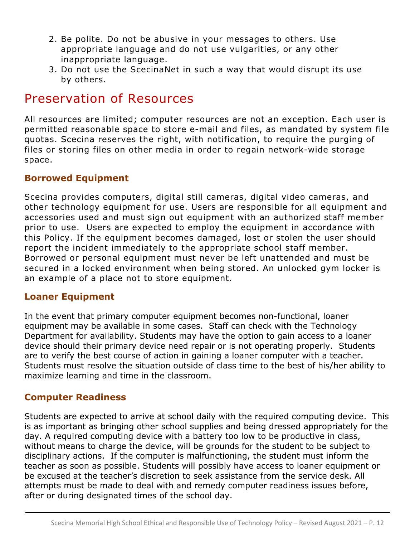- 2. Be polite. Do not be abusive in your messages to others. Use appropriate language and do not use vulgarities, or any other inappropriate language.
- 3. Do not use the ScecinaNet in such a way that would disrupt its use by others.

### Preservation of Resources

All resources are limited; computer resources are not an exception. Each user is permitted reasonable space to store e-mail and files, as mandated by system file quotas. Scecina reserves the right, with notification, to require the purging of files or storing files on other media in order to regain network-wide storage space.

#### **Borrowed Equipment**

Scecina provides computers, digital still cameras, digital video cameras, and other technology equipment for use. Users are responsible for all equipment and accessories used and must sign out equipment with an authorized staff member prior to use. Users are expected to employ the equipment in accordance with this Policy. If the equipment becomes damaged, lost or stolen the user should report the incident immediately to the appropriate school staff member. Borrowed or personal equipment must never be left unattended and must be secured in a locked environment when being stored. An unlocked gym locker is an example of a place not to store equipment.

#### **Loaner Equipment**

In the event that primary computer equipment becomes non-functional, loaner equipment may be available in some cases. Staff can check with the Technology Department for availability. Students may have the option to gain access to a loaner device should their primary device need repair or is not operating properly. Students are to verify the best course of action in gaining a loaner computer with a teacher. Students must resolve the situation outside of class time to the best of his/her ability to maximize learning and time in the classroom.

#### **Computer Readiness**

Students are expected to arrive at school daily with the required computing device. This is as important as bringing other school supplies and being dressed appropriately for the day. A required computing device with a battery too low to be productive in class, without means to charge the device, will be grounds for the student to be subject to disciplinary actions. If the computer is malfunctioning, the student must inform the teacher as soon as possible. Students will possibly have access to loaner equipment or be excused at the teacher's discretion to seek assistance from the service desk. All attempts must be made to deal with and remedy computer readiness issues before, after or during designated times of the school day.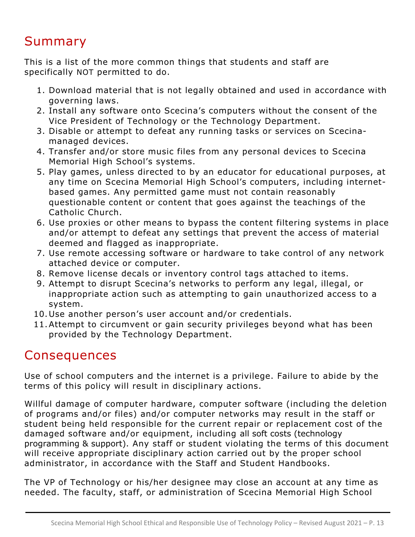### Summary

This is a list of the more common things that students and staff are specifically NOT permitted to do.

- 1. Download material that is not legally obtained and used in accordance with governing laws.
- 2. Install any software onto Scecina's computers without the consent of the Vice President of Technology or the Technology Department.
- 3. Disable or attempt to defeat any running tasks or services on Scecinamanaged devices.
- 4. Transfer and/or store music files from any personal devices to Scecina Memorial High School's systems.
- 5. Play games, unless directed to by an educator for educational purposes, at any time on Scecina Memorial High School's computers, including internetbased games. Any permitted game must not contain reasonably questionable content or content that goes against the teachings of the Catholic Church.
- 6. Use proxies or other means to bypass the content filtering systems in place and/or attempt to defeat any settings that prevent the access of material deemed and flagged as inappropriate.
- 7. Use remote accessing software or hardware to take control of any network attached device or computer.
- 8. Remove license decals or inventory control tags attached to items.
- 9. Attempt to disrupt Scecina's networks to perform any legal, illegal, or inappropriate action such as attempting to gain unauthorized access to a system.
- 10.Use another person's user account and/or credentials.
- 11.Attempt to circumvent or gain security privileges beyond what has been provided by the Technology Department.

# **Consequences**

Use of school computers and the internet is a privilege. Failure to abide by the terms of this policy will result in disciplinary actions.

Willful damage of computer hardware, computer software (including the deletion of programs and/or files) and/or computer networks may result in the staff or student being held responsible for the current repair or replacement cost of the damaged software and/or equipment, including all soft costs (technology programming & support). Any staff or student violating the terms of this document will receive appropriate disciplinary action carried out by the proper school administrator, in accordance with the Staff and Student Handbooks.

The VP of Technology or his/her designee may close an account at any time as needed. The faculty, staff, or administration of Scecina Memorial High School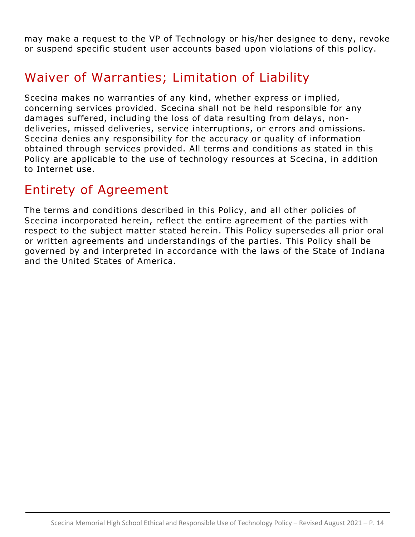may make a request to the VP of Technology or his/her designee to deny, revoke or suspend specific student user accounts based upon violations of this policy.

### Waiver of Warranties; Limitation of Liability

Scecina makes no warranties of any kind, whether express or implied, concerning services provided. Scecina shall not be held responsible for any damages suffered, including the loss of data resulting from delays, nondeliveries, missed deliveries, service interruptions, or errors and omissions. Scecina denies any responsibility for the accuracy or quality of information obtained through services provided. All terms and conditions as stated in this Policy are applicable to the use of technology resources at Scecina, in addition to Internet use.

### Entirety of Agreement

The terms and conditions described in this Policy, and all other policies of Scecina incorporated herein, reflect the entire agreement of the parties with respect to the subject matter stated herein. This Policy supersedes all prior oral or written agreements and understandings of the parties. This Policy shall be governed by and interpreted in accordance with the laws of the State of Indiana and the United States of America.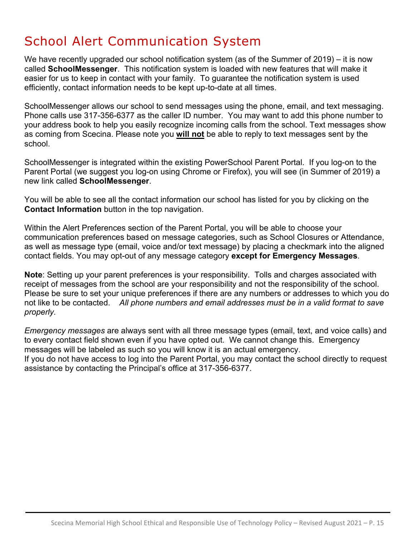# School Alert Communication System

We have recently upgraded our school notification system (as of the Summer of 2019) – it is now called **SchoolMessenger**. This notification system is loaded with new features that will make it easier for us to keep in contact with your family. To guarantee the notification system is used efficiently, contact information needs to be kept up-to-date at all times.

SchoolMessenger allows our school to send messages using the phone, email, and text messaging. Phone calls use 317-356-6377 as the caller ID number. You may want to add this phone number to your address book to help you easily recognize incoming calls from the school. Text messages show as coming from Scecina. Please note you **will not** be able to reply to text messages sent by the school.

SchoolMessenger is integrated within the existing PowerSchool Parent Portal. If you log-on to the Parent Portal (we suggest you log-on using Chrome or Firefox), you will see (in Summer of 2019) a new link called **SchoolMessenger**.

You will be able to see all the contact information our school has listed for you by clicking on the **Contact Information** button in the top navigation.

Within the Alert Preferences section of the Parent Portal, you will be able to choose your communication preferences based on message categories, such as School Closures or Attendance, as well as message type (email, voice and/or text message) by placing a checkmark into the aligned contact fields. You may opt-out of any message category **except for Emergency Messages**.

**Note**: Setting up your parent preferences is your responsibility. Tolls and charges associated with receipt of messages from the school are your responsibility and not the responsibility of the school. Please be sure to set your unique preferences if there are any numbers or addresses to which you do not like to be contacted. *All phone numbers and email addresses must be in a valid format to save properly.* 

*Emergency messages* are always sent with all three message types (email, text, and voice calls) and to every contact field shown even if you have opted out. We cannot change this. Emergency messages will be labeled as such so you will know it is an actual emergency.

If you do not have access to log into the Parent Portal, you may contact the school directly to request assistance by contacting the Principal's office at 317-356-6377.